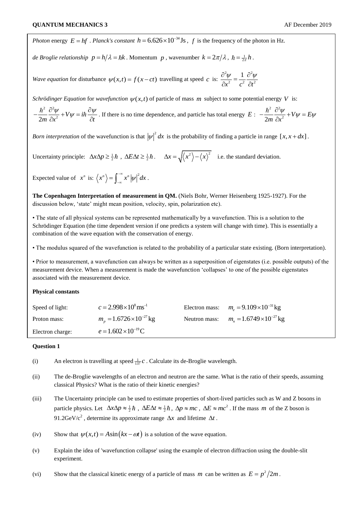*Photon* energy  $E = hf$ . *Planck's constant*  $h = 6.626 \times 10^{-34}$  Js,  $f$  is the frequency of the photon in Hz.

*de Broglie relationship*  $p = h/\lambda = \hbar k$ . Momentum  $p$ , wavenumber  $k = 2\pi/\lambda$ ,  $\hbar = \frac{1}{2\pi}h$ .

*Wave equation* for disturbance  $\psi(x,t) = f(x-ct)$  travelling at speed c is:  $2_{11}$  1  $2^2$ 2  $a^2$   $a^2$ 1  $x^2$  c<sup>2</sup>  $\partial t$  $\frac{\partial^2 \psi}{\partial x^2} = \frac{1}{2} \frac{\partial^2 \psi}{\partial x^2}$  $\partial x^2$   $c^2$   $\partial t^2$ 

*Schrödinger Equation* for *wavefunction*  $\psi(x,t)$  of particle of mass *m* subject to some potential energy V is:

2  $a^2$  $\frac{\hbar^2}{2m} \frac{\partial^2 \psi}{\partial x^2} + V \psi = i$  $\frac{m}{m} \frac{\partial x^2}{\partial x^2} + V \psi = \ln \frac{\partial x}{\partial t}$  $-\frac{\hbar^2}{2} \frac{\partial^2 \psi}{\partial x^2} + V \psi = i \hbar \frac{\partial \psi}{\partial y}$ .  $\frac{\partial \psi}{\partial x^2} + V \psi = i \hbar \frac{\partial \psi}{\partial t}$ . If there is no time dependence, and particle has total energy *E*: 2  $2^2$  $\frac{h^2}{2m} \frac{\partial^2 \psi}{\partial x^2} + V \psi = E$  $\overline{m}$   $\overline{\partial x}$  $-\frac{\hbar^2}{2m}\frac{\partial^2 \psi}{\partial x^2} + V\psi = E\psi$ 

*Born interpretation* of the wavefunction is that  $|\psi|^2 dx$  is the probability of finding a particle in range  $[x, x + dx]$ .

Uncertainty principle:  $\Delta x \Delta p \ge \frac{1}{2} \hbar$ ,  $\Delta E \Delta t \ge \frac{1}{2} \hbar$ .  $\Delta x = \sqrt{\langle x^2 \rangle - \langle x \rangle^2}$  i.e. the standard deviation.

Expected value of  $x^n$  is:  $\langle x^n \rangle = \int_0^{\infty} x^n |\psi|^2 dx$  $=\int_{-\infty}^{\infty}x^n\left|\psi\right|^2 dx$ .

**The Copenhagen Interpretation of measurement in QM.** (Niels Bohr, Werner Heisenberg 1925-1927). For the discussion below, 'state' might mean position, velocity, spin, polarization etc).

• The state of all physical systems can be represented mathematically by a wavefunction. This is a solution to the Schrödinger Equation (the time dependent version if one predicts a system will change with time). This is essentially a combination of the wave equation with the conservation of energy.

• The modulus squared of the wavefunction is related to the probability of a particular state existing. (Born interpretation).

• Prior to measurement, a wavefunction can always be written as a superposition of eigenstates (i.e. possible outputs) of the measurement device. When a measurement is made the wavefunction 'collapses' to one of the possible eigenstates associated with the measurement device.

## **Physical constants**

| Speed of light:  | $c = 2.998 \times 10^8 \,\mathrm{ms}^{-1}$ | Electron mass: $ms = 9.109 \times 10^{-31}$ kg  |
|------------------|--------------------------------------------|-------------------------------------------------|
| Proton mass:     | $m_p = 1.6726 \times 10^{-27}$ kg          | Neutron mass: $m_e = 1.6749 \times 10^{-27}$ kg |
| Electron charge: | $e = 1.602 \times 10^{-19}$ C              |                                                 |

## **Question 1**

- (i) An electron is travelling at speed  $\frac{1}{137}c$ . Calculate its de-Broglie wavelength.
- (ii) The de-Broglie wavelengths of an electron and neutron are the same. What is the ratio of their speeds, assuming classical Physics? What is the ratio of their kinetic energies?
- (iii) The Uncertainty principle can be used to estimate properties of short-lived particles such as W and Z bosons in particle physics. Let  $\Delta x \Delta p \approx \frac{1}{2} \hbar$ ,  $\Delta E \Delta t \approx \frac{1}{2} \hbar$ ,  $\Delta p \approx mc$ ,  $\Delta E \approx mc^2$ . If the mass *m* of the Z boson is 91.2GeV/c<sup>2</sup>, determine its approximate range  $\Delta x$  and lifetime  $\Delta t$ .
- (iv) Show that  $\psi(x,t) = A \sin(kx \omega t)$  is a solution of the wave equation.
- (v) Explain the idea of 'wavefunction collapse' using the example of electron diffraction using the double-slit experiment.
- (vi) Show that the classical kinetic energy of a particle of mass *m* can be written as  $E = p^2/2m$ .